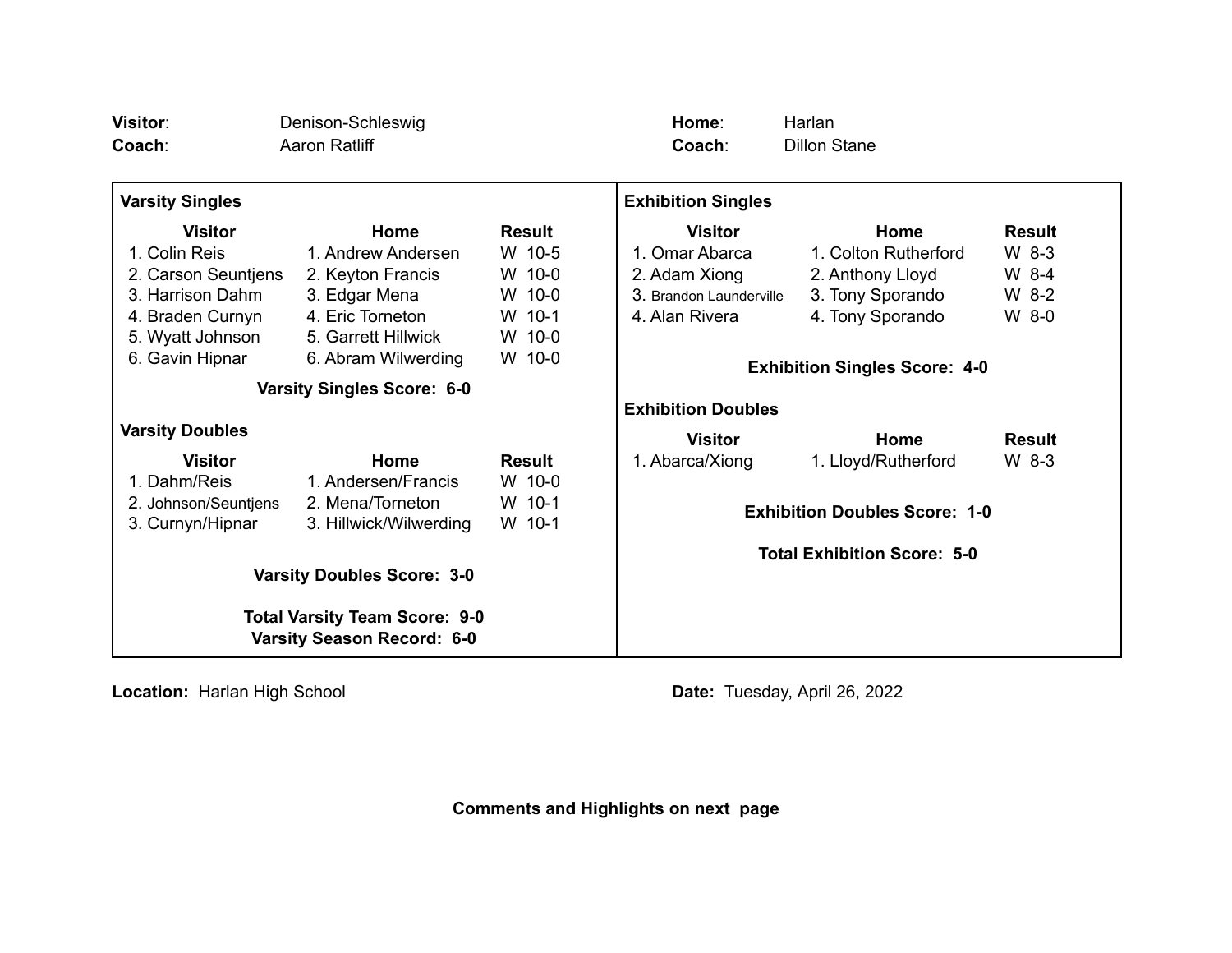| <b>Visitor:</b><br>Coach:                                                 | Denison-Schleswig<br>Aaron Ratliff                                |                            | Home:<br>Coach:                                                   | Harlan<br><b>Dillon Stane</b> |               |
|---------------------------------------------------------------------------|-------------------------------------------------------------------|----------------------------|-------------------------------------------------------------------|-------------------------------|---------------|
| <b>Varsity Singles</b>                                                    |                                                                   |                            | <b>Exhibition Singles</b>                                         |                               |               |
| <b>Visitor</b>                                                            | Home                                                              | <b>Result</b>              | <b>Visitor</b>                                                    | Home                          | <b>Result</b> |
| 1. Colin Reis                                                             | 1. Andrew Andersen                                                | W 10-5                     | 1. Omar Abarca                                                    | 1. Colton Rutherford          | W 8-3         |
| 2. Carson Seuntjens                                                       | 2. Keyton Francis                                                 | W 10-0                     | 2. Adam Xiong                                                     | 2. Anthony Lloyd              | W 8-4         |
| 3. Harrison Dahm                                                          | 3. Edgar Mena                                                     | W 10-0                     | 3. Brandon Launderville                                           | 3. Tony Sporando              | W 8-2         |
| 4. Braden Curnyn                                                          | 4. Eric Torneton                                                  | W 10-1                     | 4. Alan Rivera                                                    | 4. Tony Sporando              | W 8-0         |
| 5. Wyatt Johnson                                                          | 5. Garrett Hillwick                                               | W 10-0                     |                                                                   |                               |               |
| 6. Gavin Hipnar                                                           | 6. Abram Wilwerding                                               | W 10-0                     |                                                                   |                               |               |
| <b>Varsity Singles Score: 6-0</b>                                         |                                                                   |                            | <b>Exhibition Singles Score: 4-0</b><br><b>Exhibition Doubles</b> |                               |               |
| <b>Varsity Doubles</b>                                                    |                                                                   |                            | <b>Visitor</b>                                                    | Home                          | <b>Result</b> |
| <b>Visitor</b>                                                            | Home                                                              | <b>Result</b>              | 1. Abarca/Xiong                                                   | 1. Lloyd/Rutherford           | $W_8$ -3      |
| 1. Dahm/Reis<br>2. Johnson/Seuntjens<br>3. Curnyn/Hipnar                  | 1. Andersen/Francis<br>2. Mena/Torneton<br>3. Hillwick/Wilwerding | W 10-0<br>W 10-1<br>W 10-1 | <b>Exhibition Doubles Score: 1-0</b>                              |                               |               |
| <b>Varsity Doubles Score: 3-0</b>                                         |                                                                   |                            | <b>Total Exhibition Score: 5-0</b>                                |                               |               |
| <b>Total Varsity Team Score: 9-0</b><br><b>Varsity Season Record: 6-0</b> |                                                                   |                            |                                                                   |                               |               |

**Location:** Harlan High School **Date:** Tuesday, April 26, 2022

**Comments and Highlights on next page**